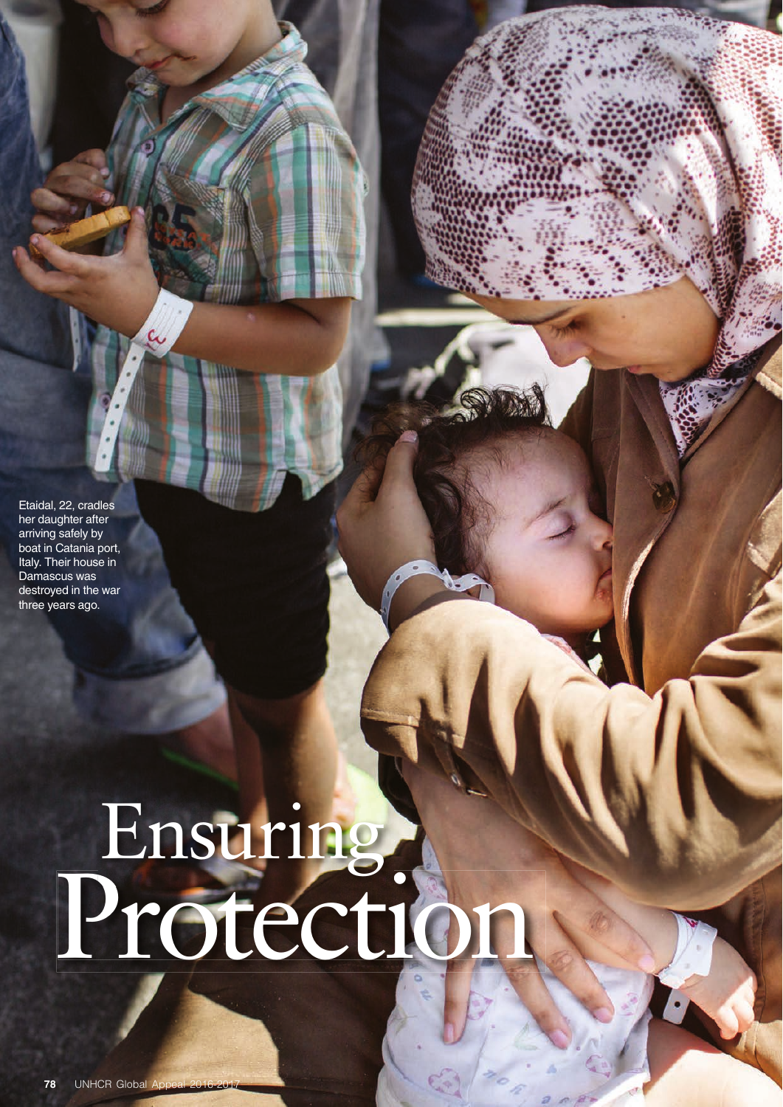Etaidal, 22, cradles her daughter after arriving safely by boat in Catania port, Italy. Their house in Damascus was destroyed in the war three years ago.

# Protection Ensuring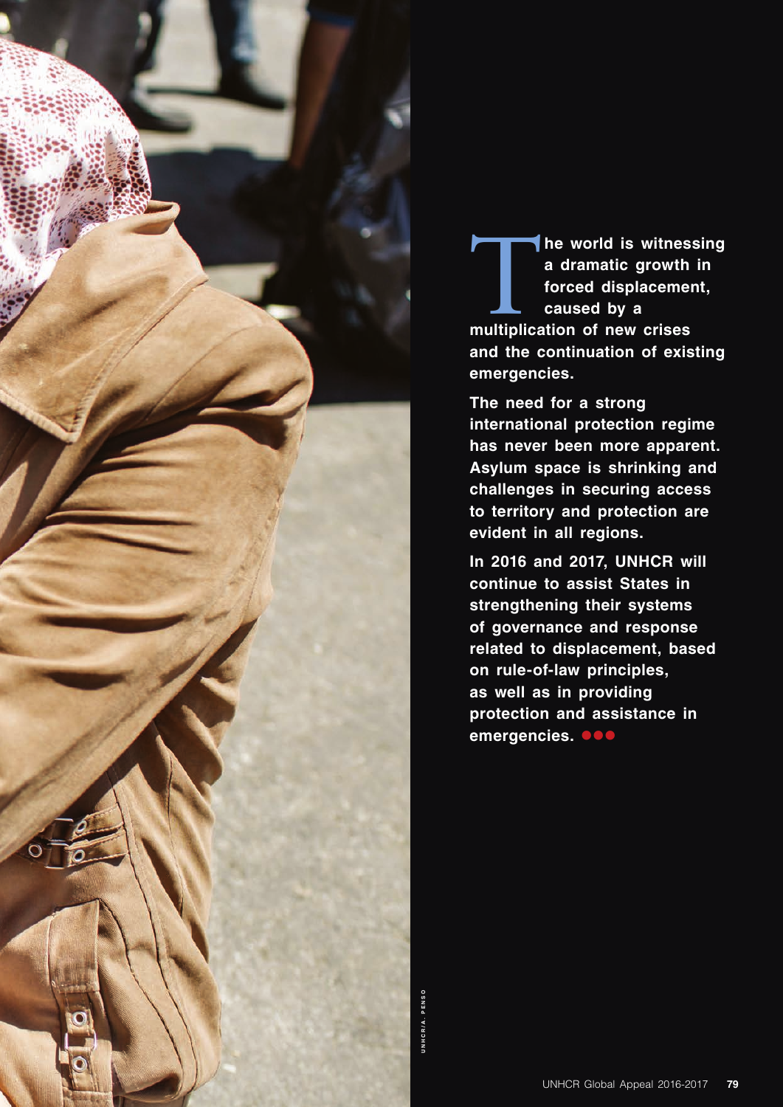

The world is witnessing<br>
a dramatic growth in<br>
forced displacement,<br>
caused by a<br>
multiplication of new crises **a dramatic growth in forced displacement, caused by a and the continuation of existing emergencies.** 

**The need for a strong international protection regime has never been more apparent. Asylum space is shrinking and challenges in securing access to territory and protection are evident in all regions.**

**In 2016 and 2017, UNHCR will continue to assist States in strengthening their systems of governance and response related to displacement, based on rule-of-law principles, as well as in providing protection and assistance in**  emergencies. **OD**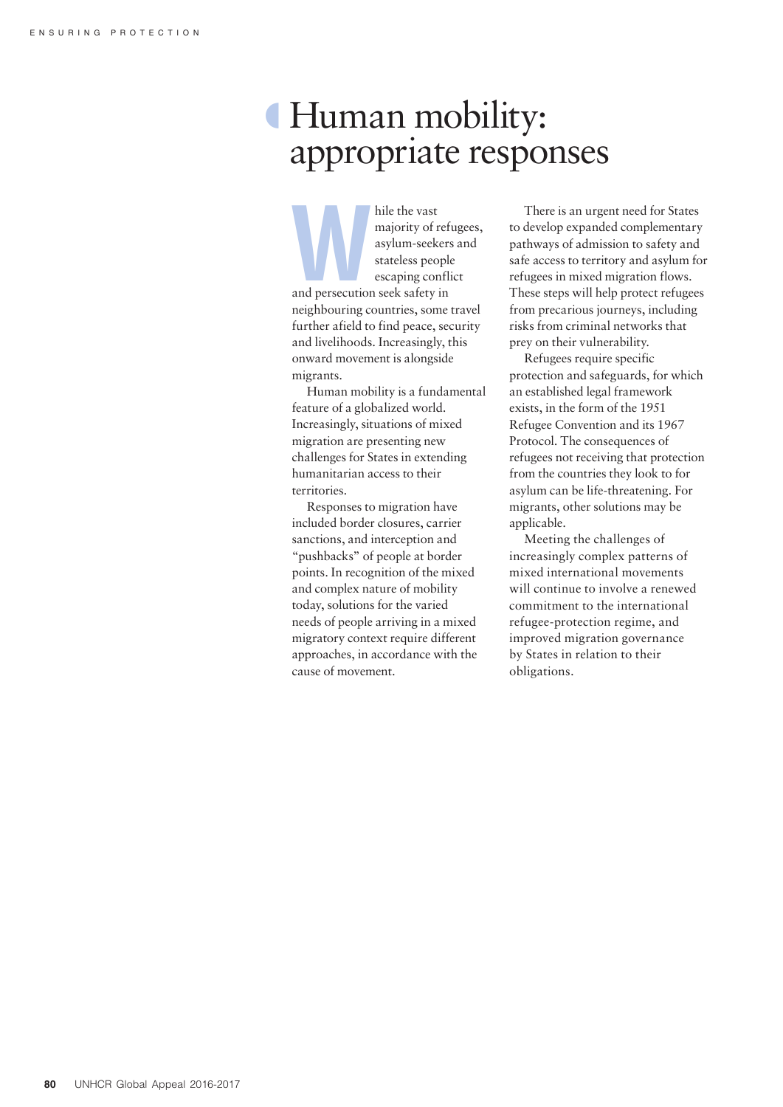# º Human mobility: appropriate responses

hile the vast<br>
majority of ref<br>
asylum-seekers<br>
stateless people<br>
escaping confli<br>
and persecution seek safety in majority of refugees, asylum-seekers and stateless people escaping conflict neighbouring countries, some travel further afield to find peace, security and livelihoods. Increasingly, this onward movement is alongside migrants.

Human mobility is a fundamental feature of a globalized world. Increasingly, situations of mixed migration are presenting new challenges for States in extending humanitarian access to their territories.

Responses to migration have included border closures, carrier sanctions, and interception and "pushbacks" of people at border points. In recognition of the mixed and complex nature of mobility today, solutions for the varied needs of people arriving in a mixed migratory context require different approaches, in accordance with the cause of movement.

There is an urgent need for States to develop expanded complementary pathways of admission to safety and safe access to territory and asylum for refugees in mixed migration flows. These steps will help protect refugees from precarious journeys, including risks from criminal networks that prey on their vulnerability.

Refugees require specific protection and safeguards, for which an established legal framework exists, in the form of the 1951 Refugee Convention and its 1967 Protocol. The consequences of refugees not receiving that protection from the countries they look to for asylum can be life-threatening. For migrants, other solutions may be applicable.

Meeting the challenges of increasingly complex patterns of mixed international movements will continue to involve a renewed commitment to the international refugee-protection regime, and improved migration governance by States in relation to their obligations.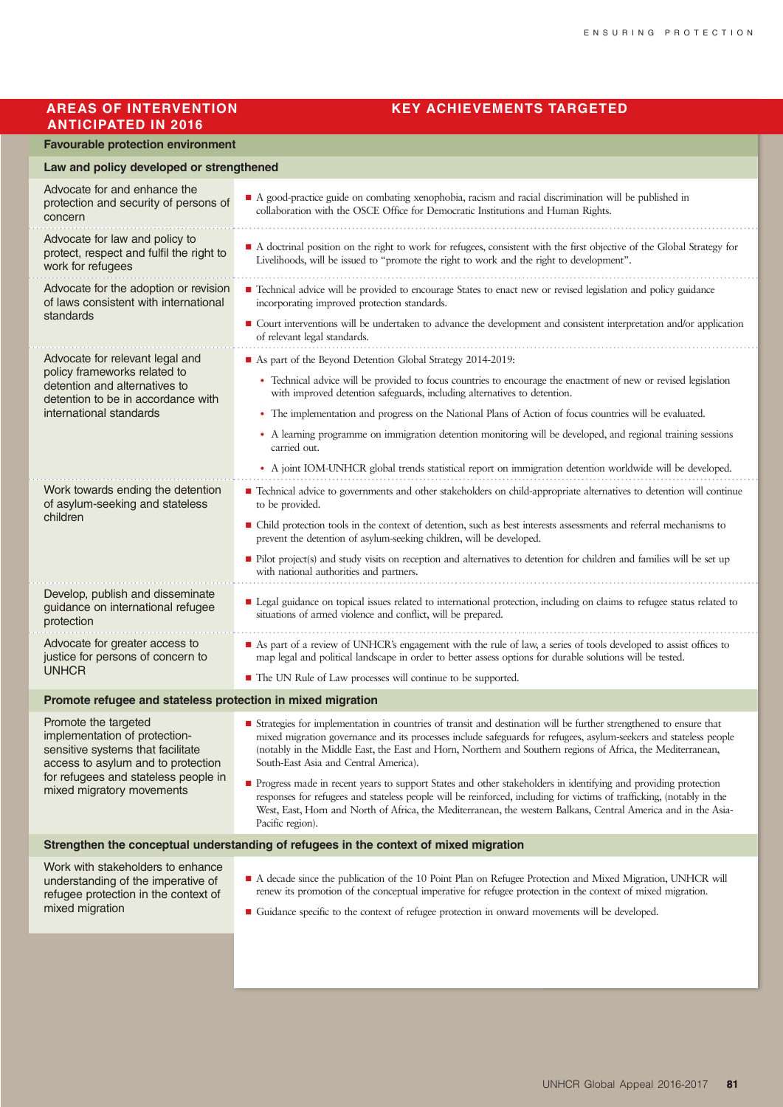## **ANTICIPATED IN 2016**

#### **AREAS OF INTERVENTION KEY ACHIEVEMENTS TARGETED**

#### **Favourable protection environment**

#### **Law and policy developed or strengthened**

| Advocate for and enhance the<br>protection and security of persons of<br>concern                                                                                                                      | A good-practice guide on combating xenophobia, racism and racial discrimination will be published in<br>collaboration with the OSCE Office for Democratic Institutions and Human Rights.                                                                                                                                                                                                         |  |
|-------------------------------------------------------------------------------------------------------------------------------------------------------------------------------------------------------|--------------------------------------------------------------------------------------------------------------------------------------------------------------------------------------------------------------------------------------------------------------------------------------------------------------------------------------------------------------------------------------------------|--|
| Advocate for law and policy to<br>protect, respect and fulfil the right to<br>work for refugees                                                                                                       | A doctrinal position on the right to work for refugees, consistent with the first objective of the Global Strategy for<br>Livelihoods, will be issued to "promote the right to work and the right to development".                                                                                                                                                                               |  |
| Advocate for the adoption or revision<br>of laws consistent with international<br>standards                                                                                                           | ■ Technical advice will be provided to encourage States to enact new or revised legislation and policy guidance<br>incorporating improved protection standards.                                                                                                                                                                                                                                  |  |
|                                                                                                                                                                                                       | ■ Court interventions will be undertaken to advance the development and consistent interpretation and/or application<br>of relevant legal standards.                                                                                                                                                                                                                                             |  |
| Advocate for relevant legal and<br>policy frameworks related to<br>detention and alternatives to<br>detention to be in accordance with<br>international standards                                     | As part of the Beyond Detention Global Strategy 2014-2019:                                                                                                                                                                                                                                                                                                                                       |  |
|                                                                                                                                                                                                       | • Technical advice will be provided to focus countries to encourage the enactment of new or revised legislation<br>with improved detention safeguards, including alternatives to detention.                                                                                                                                                                                                      |  |
|                                                                                                                                                                                                       | • The implementation and progress on the National Plans of Action of focus countries will be evaluated.                                                                                                                                                                                                                                                                                          |  |
|                                                                                                                                                                                                       | • A learning programme on immigration detention monitoring will be developed, and regional training sessions<br>carried out.                                                                                                                                                                                                                                                                     |  |
|                                                                                                                                                                                                       | • A joint IOM-UNHCR global trends statistical report on immigration detention worldwide will be developed.                                                                                                                                                                                                                                                                                       |  |
| Work towards ending the detention<br>of asylum-seeking and stateless<br>children                                                                                                                      | Technical advice to governments and other stakeholders on child-appropriate alternatives to detention will continue<br>to be provided.                                                                                                                                                                                                                                                           |  |
|                                                                                                                                                                                                       | • Child protection tools in the context of detention, such as best interests assessments and referral mechanisms to<br>prevent the detention of asylum-seeking children, will be developed.                                                                                                                                                                                                      |  |
|                                                                                                                                                                                                       | • Pilot project(s) and study visits on reception and alternatives to detention for children and families will be set up<br>with national authorities and partners.                                                                                                                                                                                                                               |  |
| Develop, publish and disseminate<br>guidance on international refugee<br>protection                                                                                                                   | Legal guidance on topical issues related to international protection, including on claims to refugee status related to<br>situations of armed violence and conflict, will be prepared.                                                                                                                                                                                                           |  |
| Advocate for greater access to<br>justice for persons of concern to<br><b>UNHCR</b>                                                                                                                   | As part of a review of UNHCR's engagement with the rule of law, a series of tools developed to assist offices to<br>map legal and political landscape in order to better assess options for durable solutions will be tested.                                                                                                                                                                    |  |
|                                                                                                                                                                                                       | ■ The UN Rule of Law processes will continue to be supported.                                                                                                                                                                                                                                                                                                                                    |  |
| Promote refugee and stateless protection in mixed migration                                                                                                                                           |                                                                                                                                                                                                                                                                                                                                                                                                  |  |
| Promote the targeted<br>implementation of protection-<br>sensitive systems that facilitate<br>access to asylum and to protection<br>for refugees and stateless people in<br>mixed migratory movements | ■ Strategies for implementation in countries of transit and destination will be further strengthened to ensure that<br>mixed migration governance and its processes include safeguards for refugees, asylum-seekers and stateless people<br>(notably in the Middle East, the East and Horn, Northern and Southern regions of Africa, the Mediterranean,<br>South-East Asia and Central America). |  |
|                                                                                                                                                                                                       | • Progress made in recent years to support States and other stakeholders in identifying and providing protection<br>responses for refugees and stateless people will be reinforced, including for victims of trafficking, (notably in the<br>West, East, Horn and North of Africa, the Mediterranean, the western Balkans, Central America and in the Asia-<br>Pacific region).                  |  |
| Strengthen the conceptual understanding of refugees in the context of mixed migration                                                                                                                 |                                                                                                                                                                                                                                                                                                                                                                                                  |  |
| Work with stakeholders to enhance<br>understanding of the imperative of<br>refugee protection in the context of<br>mixed migration                                                                    | A decade since the publication of the 10 Point Plan on Refugee Protection and Mixed Migration, UNHCR will<br>renew its promotion of the conceptual imperative for refugee protection in the context of mixed migration.<br>• Guidance specific to the context of refugee protection in onward movements will be developed.                                                                       |  |
|                                                                                                                                                                                                       |                                                                                                                                                                                                                                                                                                                                                                                                  |  |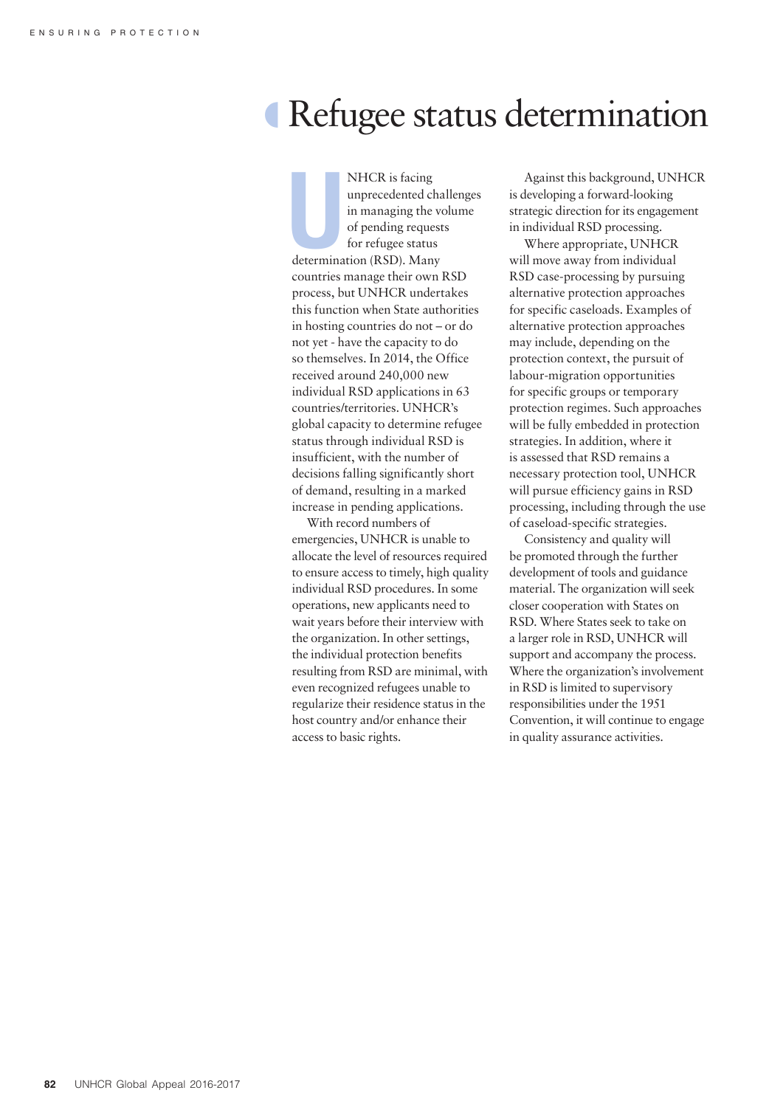# º Refugee status determination

NHCR is facing<br>
unprecedented cha<br>
in managing the ve<br>
of pending request<br>
for refugee status<br>
determination (RSD). Many NHCR is facing unprecedented challenges in managing the volume of pending requests for refugee status countries manage their own RSD process, but UNHCR undertakes this function when State authorities in hosting countries do not – or do not yet - have the capacity to do so themselves. In 2014, the Office received around 240,000 new individual RSD applications in 63 countries/territories. UNHCR's global capacity to determine refugee status through individual RSD is insufficient, with the number of decisions falling significantly short of demand, resulting in a marked increase in pending applications.

With record numbers of emergencies, UNHCR is unable to allocate the level of resources required to ensure access to timely, high quality individual RSD procedures. In some operations, new applicants need to wait years before their interview with the organization. In other settings, the individual protection benefits resulting from RSD are minimal, with even recognized refugees unable to regularize their residence status in the host country and/or enhance their access to basic rights.

Against this background, UNHCR is developing a forward-looking strategic direction for its engagement in individual RSD processing.

Where appropriate, UNHCR will move away from individual RSD case-processing by pursuing alternative protection approaches for specific caseloads. Examples of alternative protection approaches may include, depending on the protection context, the pursuit of labour-migration opportunities for specific groups or temporary protection regimes. Such approaches will be fully embedded in protection strategies. In addition, where it is assessed that RSD remains a necessary protection tool, UNHCR will pursue efficiency gains in RSD processing, including through the use of caseload-specific strategies.

Consistency and quality will be promoted through the further development of tools and guidance material. The organization will seek closer cooperation with States on RSD. Where States seek to take on a larger role in RSD, UNHCR will support and accompany the process. Where the organization's involvement in RSD is limited to supervisory responsibilities under the 1951 Convention, it will continue to engage in quality assurance activities.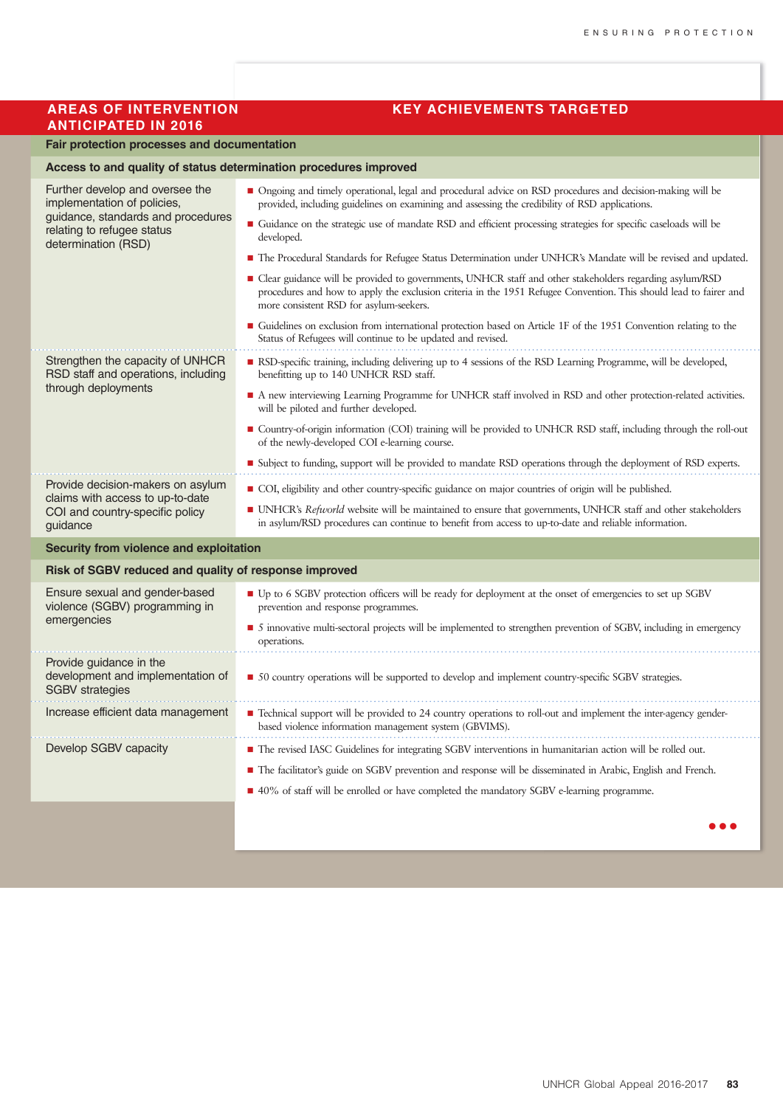### **ANTICIPATED IN 2016**

#### **AREAS OF INTERVENTION KEY ACHIEVEMENTS TARGETED**

#### **Fair protection processes and documentation**

| Access to and quality of status determination procedures improved                                                                                         |                                                                                                                                                                                                                                                                           |  |
|-----------------------------------------------------------------------------------------------------------------------------------------------------------|---------------------------------------------------------------------------------------------------------------------------------------------------------------------------------------------------------------------------------------------------------------------------|--|
| Further develop and oversee the<br>implementation of policies,<br>guidance, standards and procedures<br>relating to refugee status<br>determination (RSD) | • Ongoing and timely operational, legal and procedural advice on RSD procedures and decision-making will be<br>provided, including guidelines on examining and assessing the credibility of RSD applications.                                                             |  |
|                                                                                                                                                           | • Guidance on the strategic use of mandate RSD and efficient processing strategies for specific caseloads will be<br>developed.                                                                                                                                           |  |
|                                                                                                                                                           | • The Procedural Standards for Refugee Status Determination under UNHCR's Mandate will be revised and updated.                                                                                                                                                            |  |
|                                                                                                                                                           | ■ Clear guidance will be provided to governments, UNHCR staff and other stakeholders regarding asylum/RSD<br>procedures and how to apply the exclusion criteria in the 1951 Refugee Convention. This should lead to fairer and<br>more consistent RSD for asylum-seekers. |  |
|                                                                                                                                                           | • Guidelines on exclusion from international protection based on Article 1F of the 1951 Convention relating to the<br>Status of Refugees will continue to be updated and revised.                                                                                         |  |
| Strengthen the capacity of UNHCR<br>RSD staff and operations, including<br>through deployments                                                            | RSD-specific training, including delivering up to 4 sessions of the RSD Learning Programme, will be developed,<br>benefitting up to 140 UNHCR RSD staff.                                                                                                                  |  |
|                                                                                                                                                           | • A new interviewing Learning Programme for UNHCR staff involved in RSD and other protection-related activities.<br>will be piloted and further developed.                                                                                                                |  |
|                                                                                                                                                           | ■ Country-of-origin information (COI) training will be provided to UNHCR RSD staff, including through the roll-out<br>of the newly-developed COI e-learning course.                                                                                                       |  |
|                                                                                                                                                           | ■ Subject to funding, support will be provided to mandate RSD operations through the deployment of RSD experts.                                                                                                                                                           |  |
| Provide decision-makers on asylum<br>claims with access to up-to-date<br>COI and country-specific policy<br>guidance                                      | ■ COI, eligibility and other country-specific guidance on major countries of origin will be published.                                                                                                                                                                    |  |
|                                                                                                                                                           | ■ UNHCR's Refworld website will be maintained to ensure that governments, UNHCR staff and other stakeholders<br>in asylum/RSD procedures can continue to benefit from access to up-to-date and reliable information.                                                      |  |
| Security from violence and exploitation                                                                                                                   |                                                                                                                                                                                                                                                                           |  |
| Risk of SGBV reduced and quality of response improved                                                                                                     |                                                                                                                                                                                                                                                                           |  |
| Ensure sexual and gender-based<br>violence (SGBV) programming in<br>emergencies                                                                           | ■ Up to 6 SGBV protection officers will be ready for deployment at the onset of emergencies to set up SGBV<br>prevention and response programmes.                                                                                                                         |  |
|                                                                                                                                                           | • 5 innovative multi-sectoral projects will be implemented to strengthen prevention of SGBV, including in emergency<br>operations.                                                                                                                                        |  |
| Provide guidance in the<br>development and implementation of<br><b>SGBV</b> strategies                                                                    | • 50 country operations will be supported to develop and implement country-specific SGBV strategies.                                                                                                                                                                      |  |
| Increase efficient data management                                                                                                                        | ■ Technical support will be provided to 24 country operations to roll-out and implement the inter-agency gender-<br>based violence information management system (GBVIMS).                                                                                                |  |
| Develop SGBV capacity                                                                                                                                     | ■ The revised IASC Guidelines for integrating SGBV interventions in humanitarian action will be rolled out.                                                                                                                                                               |  |
|                                                                                                                                                           | ■ The facilitator's guide on SGBV prevention and response will be disseminated in Arabic, English and French.                                                                                                                                                             |  |
|                                                                                                                                                           | ■ 40% of staff will be enrolled or have completed the mandatory SGBV e-learning programme.                                                                                                                                                                                |  |
|                                                                                                                                                           |                                                                                                                                                                                                                                                                           |  |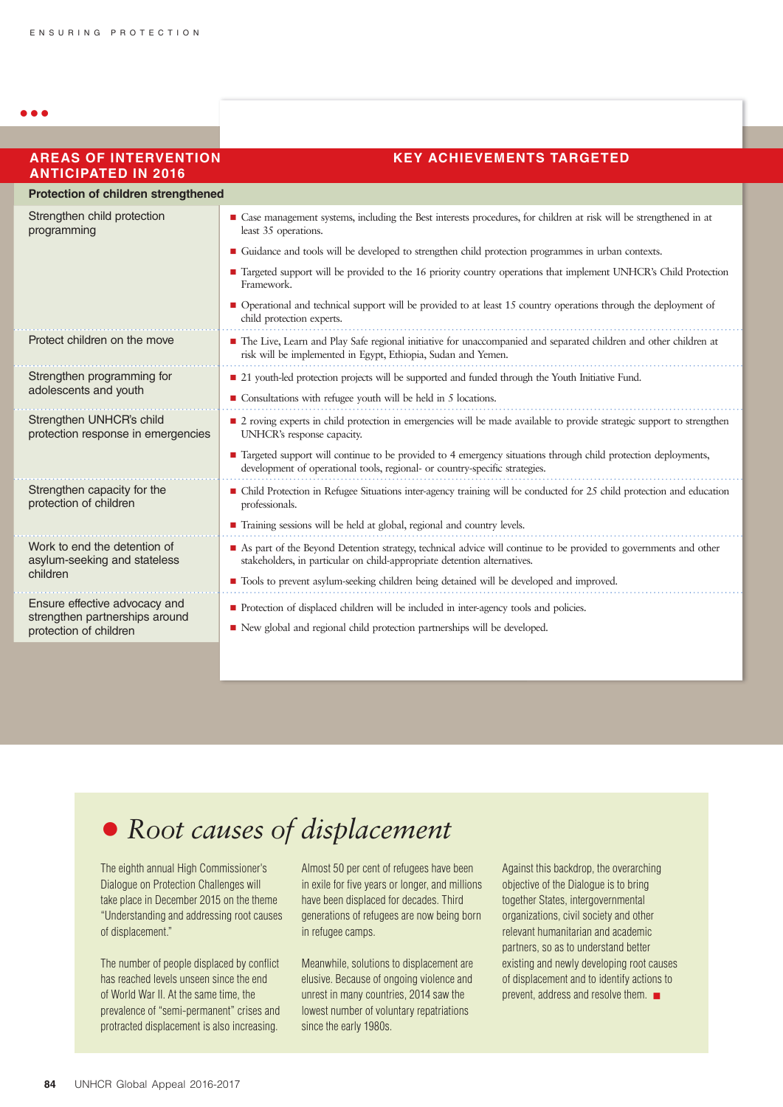a a a

| <b>AREAS OF INTERVENTION</b><br><b>ANTICIPATED IN 2016</b>      | <b>KEY ACHIEVEMENTS TARGETED</b>                                                                                                                                                               |
|-----------------------------------------------------------------|------------------------------------------------------------------------------------------------------------------------------------------------------------------------------------------------|
| Protection of children strengthened                             |                                                                                                                                                                                                |
| Strengthen child protection<br>programming                      | ■ Case management systems, including the Best interests procedures, for children at risk will be strengthened in at<br>least 35 operations.                                                    |
|                                                                 | Guidance and tools will be developed to strengthen child protection programmes in urban contexts.                                                                                              |
|                                                                 | ■ Targeted support will be provided to the 16 priority country operations that implement UNHCR's Child Protection<br>Framework.                                                                |
|                                                                 | • Operational and technical support will be provided to at least 15 country operations through the deployment of<br>child protection experts.                                                  |
| Protect children on the move                                    | The Live, Learn and Play Safe regional initiative for unaccompanied and separated children and other children at<br>risk will be implemented in Egypt, Ethiopia, Sudan and Yemen.              |
| Strengthen programming for                                      | ■ 21 youth-led protection projects will be supported and funded through the Youth Initiative Fund.                                                                                             |
| adolescents and youth                                           | $\blacksquare$ Consultations with refugee youth will be held in 5 locations.                                                                                                                   |
| Strengthen UNHCR's child<br>protection response in emergencies  | ■ 2 roving experts in child protection in emergencies will be made available to provide strategic support to strengthen<br>UNHCR's response capacity.                                          |
|                                                                 | ■ Targeted support will continue to be provided to 4 emergency situations through child protection deployments,<br>development of operational tools, regional- or country-specific strategies. |
| Strengthen capacity for the<br>protection of children           | • Child Protection in Refugee Situations inter-agency training will be conducted for 25 child protection and education<br>professionals.                                                       |
|                                                                 | ■ Training sessions will be held at global, regional and country levels.                                                                                                                       |
| Work to end the detention of<br>asylum-seeking and stateless    | As part of the Beyond Detention strategy, technical advice will continue to be provided to governments and other<br>stakeholders, in particular on child-appropriate detention alternatives.   |
| children                                                        | Tools to prevent asylum-seeking children being detained will be developed and improved.                                                                                                        |
| Ensure effective advocacy and<br>strengthen partnerships around | Protection of displaced children will be included in inter-agency tools and policies.                                                                                                          |
| protection of children                                          | New global and regional child protection partnerships will be developed.                                                                                                                       |
|                                                                 |                                                                                                                                                                                                |

## • *Root causes of displacement*

The eighth annual High Commissioner's Dialogue on Protection Challenges will take place in December 2015 on the theme "Understanding and addressing root causes of displacement."

The number of people displaced by conflict has reached levels unseen since the end of World War II. At the same time, the prevalence of "semi-permanent" crises and protracted displacement is also increasing.

Almost 50 per cent of refugees have been in exile for five years or longer, and millions have been displaced for decades. Third generations of refugees are now being born in refugee camps.

Meanwhile, solutions to displacement are elusive. Because of ongoing violence and unrest in many countries, 2014 saw the lowest number of voluntary repatriations since the early 1980s.

Against this backdrop, the overarching objective of the Dialogue is to bring together States, intergovernmental organizations, civil society and other relevant humanitarian and academic partners, so as to understand better existing and newly developing root causes of displacement and to identify actions to prevent, address and resolve them.  $\blacksquare$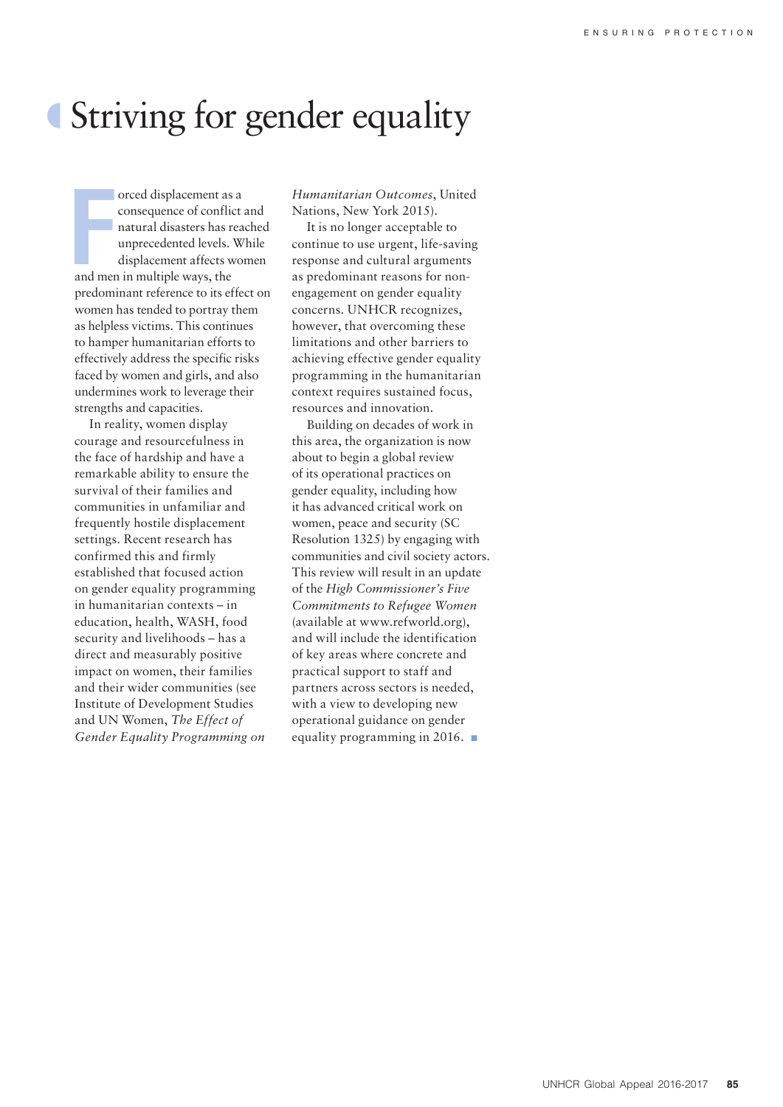# º Striving for gender equality

France displacement as<br>
France of conflict and mention in multiple ways, the<br>
and men in multiple ways, the orced displacement as a consequence of conflict and natural disasters has reached unprecedented levels. While displacement affects women predominant reference to its effect on women has tended to portray them as helpless victims. This continues to hamper humanitarian efforts to effectively address the specific risks faced by women and girls, and also undermines work to leverage their strengths and capacities.

In reality, women display courage and resourcefulness in the face of hardship and have a remarkable ability to ensure the survival of their families and communities in unfamiliar and frequently hostile displacement settings. Recent research has confirmed this and firmly established that focused action on gender equality programming in humanitarian contexts – in education, health, WASH, food security and livelihoods – has a direct and measurably positive impact on women, their families and their wider communities (see Institute of Development Studies and UN Women, *The Effect of Gender Equality Programming on*  *Humanitarian Outcomes*, United Nations, New York 2015).

It is no longer acceptable to continue to use urgent, life-saving response and cultural arguments as predominant reasons for nonengagement on gender equality concerns. UNHCR recognizes, however, that overcoming these limitations and other barriers to achieving effective gender equality programming in the humanitarian context requires sustained focus, resources and innovation.

Building on decades of work in this area, the organization is now about to begin a global review of its operational practices on gender equality, including how it has advanced critical work on women, peace and security (SC Resolution 1325) by engaging with communities and civil society actors. This review will result in an update of the *High Commissioner's Five Commitments to Refugee Women* (available at www.refworld.org), and will include the identification of key areas where concrete and practical support to staff and partners across sectors is needed, with a view to developing new operational guidance on gender equality programming in 2016.  $\blacksquare$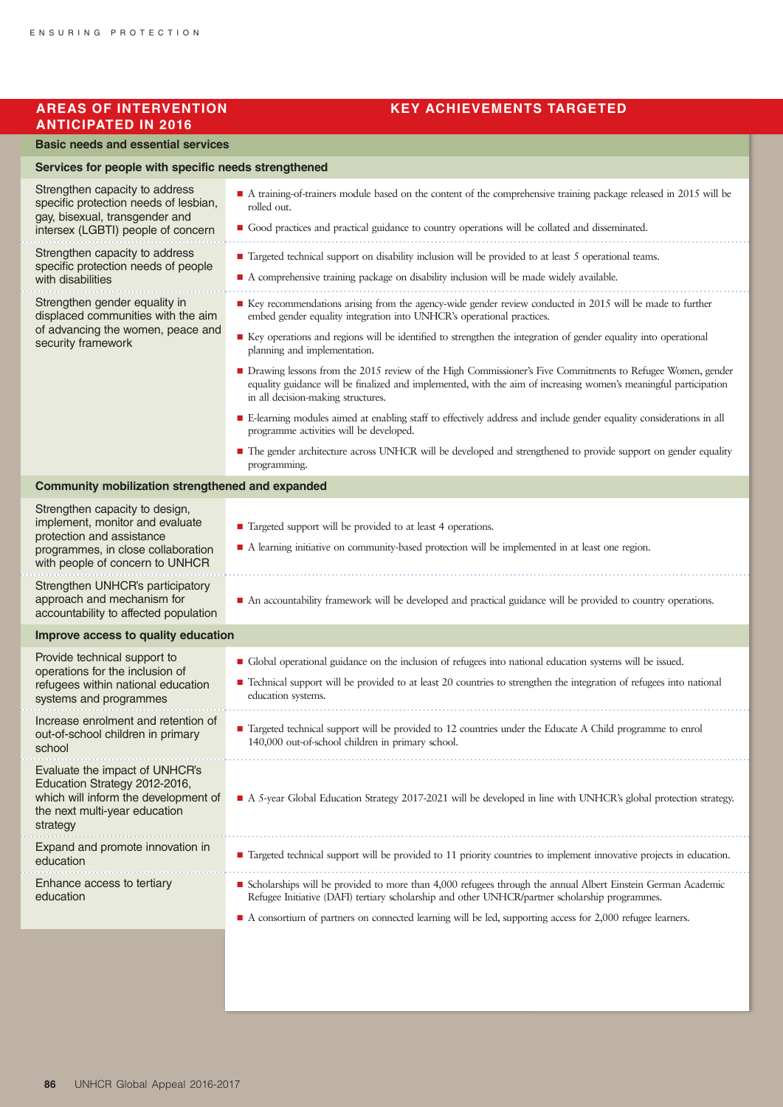## **ANTICIPATED IN 2016**

#### **AREAS OF INTERVENTION KEY ACHIEVEMENTS TARGETED**

#### **Basic needs and essential services**

| Services for people with specific needs strengthened                                                                                                 |                                                                                                                                                                                                                                                                       |  |
|------------------------------------------------------------------------------------------------------------------------------------------------------|-----------------------------------------------------------------------------------------------------------------------------------------------------------------------------------------------------------------------------------------------------------------------|--|
| Strengthen capacity to address<br>specific protection needs of lesbian,<br>gay, bisexual, transgender and                                            | A training-of-trainers module based on the content of the comprehensive training package released in 2015 will be<br>rolled out.<br>Good practices and practical guidance to country operations will be collated and disseminated.                                    |  |
| intersex (LGBTI) people of concern                                                                                                                   |                                                                                                                                                                                                                                                                       |  |
| Strengthen capacity to address<br>specific protection needs of people<br>with disabilities                                                           | ■ Targeted technical support on disability inclusion will be provided to at least 5 operational teams.                                                                                                                                                                |  |
|                                                                                                                                                      | A comprehensive training package on disability inclusion will be made widely available.                                                                                                                                                                               |  |
| Strengthen gender equality in<br>displaced communities with the aim<br>of advancing the women, peace and<br>security framework                       | ■ Key recommendations arising from the agency-wide gender review conducted in 2015 will be made to further<br>embed gender equality integration into UNHCR's operational practices.                                                                                   |  |
|                                                                                                                                                      | ■ Key operations and regions will be identified to strengthen the integration of gender equality into operational<br>planning and implementation.                                                                                                                     |  |
|                                                                                                                                                      | • Drawing lessons from the 2015 review of the High Commissioner's Five Commitments to Refugee Women, gender<br>equality guidance will be finalized and implemented, with the aim of increasing women's meaningful participation<br>in all decision-making structures. |  |
|                                                                                                                                                      | E-learning modules aimed at enabling staff to effectively address and include gender equality considerations in all<br>programme activities will be developed.                                                                                                        |  |
|                                                                                                                                                      | • The gender architecture across UNHCR will be developed and strengthened to provide support on gender equality<br>programming.                                                                                                                                       |  |
| <b>Community mobilization strengthened and expanded</b>                                                                                              |                                                                                                                                                                                                                                                                       |  |
| Strengthen capacity to design,                                                                                                                       |                                                                                                                                                                                                                                                                       |  |
| implement, monitor and evaluate<br>protection and assistance                                                                                         | ■ Targeted support will be provided to at least 4 operations.                                                                                                                                                                                                         |  |
| programmes, in close collaboration<br>with people of concern to UNHCR                                                                                | A learning initiative on community-based protection will be implemented in at least one region.                                                                                                                                                                       |  |
| Strengthen UNHCR's participatory<br>approach and mechanism for<br>accountability to affected population                                              | An accountability framework will be developed and practical guidance will be provided to country operations.                                                                                                                                                          |  |
| Improve access to quality education                                                                                                                  |                                                                                                                                                                                                                                                                       |  |
| Provide technical support to                                                                                                                         | • Global operational guidance on the inclusion of refugees into national education systems will be issued.                                                                                                                                                            |  |
| operations for the inclusion of<br>refugees within national education<br>systems and programmes                                                      | ■ Technical support will be provided to at least 20 countries to strengthen the integration of refugees into national<br>education systems.                                                                                                                           |  |
| Increase enrolment and retention of<br>out-of-school children in primary<br>school                                                                   | ■ Targeted technical support will be provided to 12 countries under the Educate A Child programme to enrol<br>140,000 out-of-school children in primary school.                                                                                                       |  |
| Evaluate the impact of UNHCR's<br>Education Strategy 2012-2016,<br>which will inform the development of<br>the next multi-year education<br>strategy | A 5-year Global Education Strategy 2017-2021 will be developed in line with UNHCR's global protection strategy.                                                                                                                                                       |  |
| Expand and promote innovation in<br>education                                                                                                        | ■ Targeted technical support will be provided to 11 priority countries to implement innovative projects in education.                                                                                                                                                 |  |
| Enhance access to tertiary<br>education                                                                                                              | ■ Scholarships will be provided to more than 4,000 refugees through the annual Albert Einstein German Academic<br>Refugee Initiative (DAFI) tertiary scholarship and other UNHCR/partner scholarship programmes.                                                      |  |
|                                                                                                                                                      | A consortium of partners on connected learning will be led, supporting access for 2,000 refugee learners.                                                                                                                                                             |  |